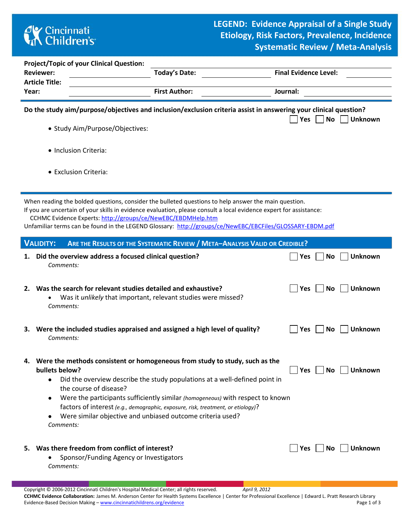

|                                                                                                                                                                                                                                                                                                                                                                                                        | <b>Project/Topic of your Clinical Question:</b><br><b>Reviewer:</b><br><b>Article Title:</b>                                               | <b>Today's Date:</b>                                                                                                                                                                                                             |          | <b>Final Evidence Level:</b> |                             |  |  |  |  |  |  |  |
|--------------------------------------------------------------------------------------------------------------------------------------------------------------------------------------------------------------------------------------------------------------------------------------------------------------------------------------------------------------------------------------------------------|--------------------------------------------------------------------------------------------------------------------------------------------|----------------------------------------------------------------------------------------------------------------------------------------------------------------------------------------------------------------------------------|----------|------------------------------|-----------------------------|--|--|--|--|--|--|--|
| Year:                                                                                                                                                                                                                                                                                                                                                                                                  |                                                                                                                                            | <b>First Author:</b>                                                                                                                                                                                                             |          | Journal:                     |                             |  |  |  |  |  |  |  |
| Do the study aim/purpose/objectives and inclusion/exclusion criteria assist in answering your clinical question?<br>Yes<br><b>No</b><br><b>Unknown</b>                                                                                                                                                                                                                                                 |                                                                                                                                            |                                                                                                                                                                                                                                  |          |                              |                             |  |  |  |  |  |  |  |
|                                                                                                                                                                                                                                                                                                                                                                                                        | • Study Aim/Purpose/Objectives:                                                                                                            |                                                                                                                                                                                                                                  |          |                              |                             |  |  |  |  |  |  |  |
|                                                                                                                                                                                                                                                                                                                                                                                                        | • Inclusion Criteria:                                                                                                                      |                                                                                                                                                                                                                                  |          |                              |                             |  |  |  |  |  |  |  |
|                                                                                                                                                                                                                                                                                                                                                                                                        | • Exclusion Criteria:                                                                                                                      |                                                                                                                                                                                                                                  |          |                              |                             |  |  |  |  |  |  |  |
| When reading the bolded questions, consider the bulleted questions to help answer the main question.<br>If you are uncertain of your skills in evidence evaluation, please consult a local evidence expert for assistance:<br>CCHMC Evidence Experts: http://groups/ce/NewEBC/EBDMHelp.htm<br>Unfamiliar terms can be found in the LEGEND Glossary: http://groups/ce/NewEBC/EBCFiles/GLOSSARY-EBDM.pdf |                                                                                                                                            |                                                                                                                                                                                                                                  |          |                              |                             |  |  |  |  |  |  |  |
|                                                                                                                                                                                                                                                                                                                                                                                                        | <b>VALIDITY:</b><br>ARE THE RESULTS OF THE SYSTEMATIC REVIEW / META-ANALYSIS VALID OR CREDIBLE?                                            |                                                                                                                                                                                                                                  |          |                              |                             |  |  |  |  |  |  |  |
| 1.                                                                                                                                                                                                                                                                                                                                                                                                     | Did the overview address a focused clinical question?<br>Comments:                                                                         |                                                                                                                                                                                                                                  |          | Yes                          | <b>Unknown</b><br>No        |  |  |  |  |  |  |  |
| 2.                                                                                                                                                                                                                                                                                                                                                                                                     | Was the search for relevant studies detailed and exhaustive?<br>Was it unlikely that important, relevant studies were missed?<br>Comments: |                                                                                                                                                                                                                                  |          | Yes                          | <b>No</b><br>Unknown        |  |  |  |  |  |  |  |
| з.                                                                                                                                                                                                                                                                                                                                                                                                     | Were the included studies appraised and assigned a high level of quality?<br>Comments:                                                     |                                                                                                                                                                                                                                  |          | Yes                          | <b>No</b><br>Unknown        |  |  |  |  |  |  |  |
| 4.                                                                                                                                                                                                                                                                                                                                                                                                     | Were the methods consistent or homogeneous from study to study, such as the<br>bullets below?<br>$-1$                                      | $\mathbf{r}$ , and the set of the set of the set of the set of the set of the set of the set of the set of the set of the set of the set of the set of the set of the set of the set of the set of the set of the set of the set | $\cdots$ | Yes                          | <b>No</b><br><b>Unknown</b> |  |  |  |  |  |  |  |

- Did the overview describe the study populations at a well-defined point in the course of disease?
- Were the participants sufficiently similar *(homogeneous)* with respect to known factors of interest *(e.g., demographic, exposure, risk, treatment, or etiology)*?
- Were similar objective and unbiased outcome criteria used? *Comments:*
- **5.** Was there freedom from conflict of interest? <br> **Example 20 Yes No Unknown** 
	- Sponsor/Funding Agency or Investigators *Comments:*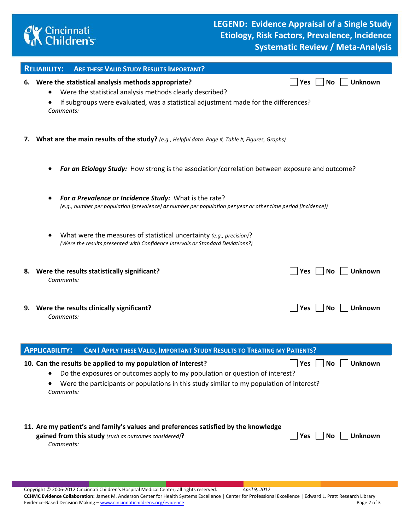

|                                                                                                                                                                                                                                                                                             | <b>ARE THESE VALID STUDY RESULTS IMPORTANT?</b><br><b>RELIABILITY:</b>                                                                                                                                                                                             |  |  |  |  |  |  |  |
|---------------------------------------------------------------------------------------------------------------------------------------------------------------------------------------------------------------------------------------------------------------------------------------------|--------------------------------------------------------------------------------------------------------------------------------------------------------------------------------------------------------------------------------------------------------------------|--|--|--|--|--|--|--|
|                                                                                                                                                                                                                                                                                             | 6. Were the statistical analysis methods appropriate?<br><b>Unknown</b><br><b>No</b><br><b>Yes</b><br>Were the statistical analysis methods clearly described?<br>If subgroups were evaluated, was a statistical adjustment made for the differences?<br>Comments: |  |  |  |  |  |  |  |
|                                                                                                                                                                                                                                                                                             | 7. What are the main results of the study? (e.g., Helpful data: Page #, Table #, Figures, Graphs)                                                                                                                                                                  |  |  |  |  |  |  |  |
|                                                                                                                                                                                                                                                                                             | For an Etiology Study: How strong is the association/correlation between exposure and outcome?                                                                                                                                                                     |  |  |  |  |  |  |  |
|                                                                                                                                                                                                                                                                                             | For a Prevalence or Incidence Study: What is the rate?<br>(e.g., number per population [prevalence] or number per population per year or other time period [incidence])                                                                                            |  |  |  |  |  |  |  |
|                                                                                                                                                                                                                                                                                             | What were the measures of statistical uncertainty (e.g., precision)?<br>(Were the results presented with Confidence Intervals or Standard Deviations?)                                                                                                             |  |  |  |  |  |  |  |
|                                                                                                                                                                                                                                                                                             | 8. Were the results statistically significant?<br><b>Unknown</b><br><b>Yes</b><br>No<br>Comments:                                                                                                                                                                  |  |  |  |  |  |  |  |
|                                                                                                                                                                                                                                                                                             | 9. Were the results clinically significant?<br><b>Yes</b><br><b>Unknown</b><br>No<br>Comments:                                                                                                                                                                     |  |  |  |  |  |  |  |
|                                                                                                                                                                                                                                                                                             | <b>APPLICABILITY:</b><br>CAN I APPLY THESE VALID, IMPORTANT STUDY RESULTS TO TREATING MY PATIENTS?                                                                                                                                                                 |  |  |  |  |  |  |  |
| <b>Unknown</b><br><b>No</b><br>10. Can the results be applied to my population of interest?<br>Yes<br>Do the exposures or outcomes apply to my population or question of interest?<br>Were the participants or populations in this study similar to my population of interest?<br>Comments: |                                                                                                                                                                                                                                                                    |  |  |  |  |  |  |  |

## **11. Are my patient's and family's values and preferences satisfied by the knowledge gained from this study** (such as outcomes considered)? **All Studies 1 and Studies 2 and Studies 1 and No Unknown**

*Comments:*